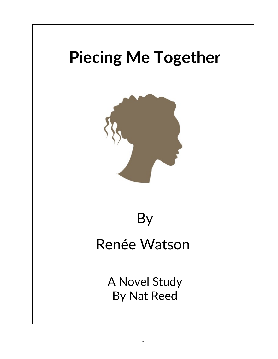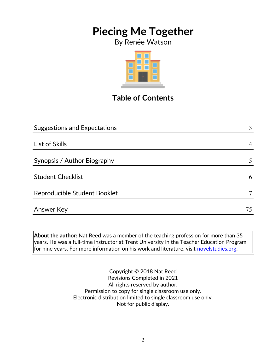By Renée Watson



## **Table of Contents**

| <b>Suggestions and Expectations</b> | 3              |
|-------------------------------------|----------------|
|                                     |                |
| List of Skills                      | $\overline{4}$ |
|                                     |                |
| Synopsis / Author Biography         | 5              |
|                                     |                |
| <b>Student Checklist</b>            | 6              |
| Reproducible Student Booklet        |                |
|                                     |                |
| Answer Key                          | 75             |
|                                     |                |

**About the author:** Nat Reed was a member of the teaching profession for more than 35 years. He was a full-time instructor at Trent University in the Teacher Education Program for nine years. For more information on his work and literature, visit [novelstudies.org.](http://www.novelstudies.org/)

> Copyright © 2018 Nat Reed Revisions Completed in 2021 All rights reserved by author. Permission to copy for single classroom use only. Electronic distribution limited to single classroom use only. Not for public display.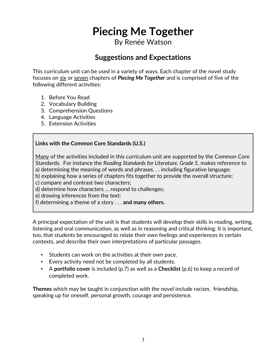By Renée Watson

### **Suggestions and Expectations**

This curriculum unit can be used in a variety of ways. Each chapter of the novel study focuses on six or seven chapters of *Piecing Me Together* and is comprised of five of the following different activities:

- 1. Before You Read
- 2. Vocabulary Building
- 3. Comprehension Questions
- 4. Language Activities
- 5. Extension Activities

#### **Links with the Common Core Standards (U.S.)**

Many of the activities included in this curriculum unit are supported by the Common Core Standards. For instance the *Reading Standards for Literature, Grade 5*, makes reference to a) determining the meaning of words and phrases. . . including figurative language; b) explaining how a series of chapters fits together to provide the overall structure; c) compare and contrast two characters; d) determine how characters … respond to challenges; e) drawing inferences from the text;

f) determining a theme of a story . . . **and many others.**

A principal expectation of the unit is that students will develop their skills in reading, writing, listening and oral communication, as well as in reasoning and critical thinking. It is important, too, that students be encouraged to relate their own feelings and experiences in certain contexts, and describe their own interpretations of particular passages.

- Students can work on the activities at their own pace.
- Every activity need not be completed by all students.
- A **portfolio cover** is included (p.7) as well as a **Checklist** (p.6) to keep a record of completed work.

**Themes** which may be taught in conjunction with the novel include racism, friendship, speaking up for oneself, personal growth, courage and persistence.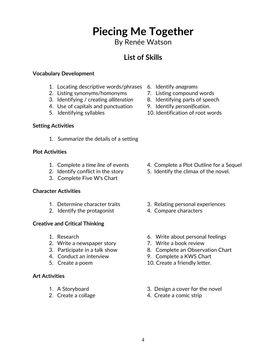By Renée Watson

### **List of Skills**

#### **Vocabulary Development**

- 1. Locating descriptive words/phrases 6. Identify *anagrams*
- 2. Listing synonyms/homonyms 7. Listing compound words
- 3. Identifying / creating *alliteration* 8. Identifying parts of speech
- 4. Use of capitals and punctuation 9. Identify *personification*.
- 

#### **Setting Activities**

1. Summarize the details of a setting

#### **Plot Activities**

- 1. Complete a *time line* of events 4. Complete a Plot Outline for a Sequel
- 
- 3. Complete Five W's Chart

#### **Character Activities**

- 
- 2. Identify the protagonist 4. Compare characters

#### **Creative and Critical Thinking**

- 
- 2. Write a newspaper story **7. Write a book review**
- 
- 
- 

#### **Art Activities**

- 
- 
- 
- 
- 
- 
- 5. Identifying syllables 10. Identification of root words

- 
- 2. Identify conflict in the story 5. Identify the climax of the novel.
- 1. Determine character traits 3. Relating personal experiences
	-
- 1. Research 6. Write about personal feelings
	-
- 3. Participate in a talk show 8. Complete an Observation Chart
- 4. Conduct an interview 9. Complete a KWS Chart
- 5. Create a poem 10. Create a friendly letter.
- 1. A Storyboard 3. Design a cover for the novel
- 2. Create a collage 4. Create a comic strip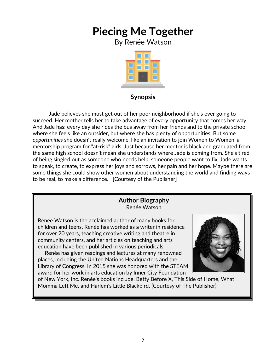By Renée Watson



### **Synopsis**

 Jade believes she must get out of her poor neighborhood if she's ever going to succeed. Her mother tells her to take advantage of every opportunity that comes her way. And Jade has: every day she rides the bus away from her friends and to the private school where she feels like an outsider, but where she has plenty of opportunities. But some *opportunities* she doesn't really welcome, like an invitation to join Women to Women, a mentorship program for "at-risk" girls. Just because her mentor is black and graduated from the same high school doesn't mean she understands where Jade is coming from. She's tired of being singled out as someone who needs help, someone people want to fix. Jade wants to speak, to create, to express her joys and sorrows, her pain and her hope. Maybe there are some things she could show other women about understanding the world and finding ways to be real, to make a difference. [Courtesy of the Publisher]

#### **Author Biography** Renée Watson

Renée Watson is the acclaimed author of many books for children and teens. Renée has worked as a writer in residence for over 20 years, teaching creative writing and theatre in community centers, and her articles on teaching and arts education have been published in various periodicals.

 Renée has given readings and lectures at many renowned places, including the United Nations Headquarters and the Library of Congress. In 2015 she was honored with the STEAM award for her work in arts education by Inner City Foundation



of New York, Inc. Renée's books include, Betty Before X, This Side of Home, What Momma Left Me, and Harlem's Little Blackbird. (Courtesy of The Publisher)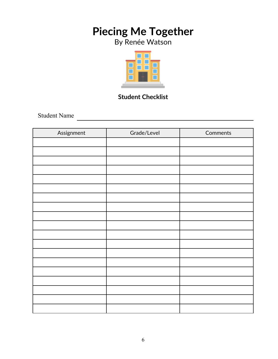By Renée Watson



### **Student Checklist**

Student Name

| Assignment | Grade/Level | Comments |
|------------|-------------|----------|
|            |             |          |
|            |             |          |
|            |             |          |
|            |             |          |
|            |             |          |
|            |             |          |
|            |             |          |
|            |             |          |
|            |             |          |
|            |             |          |
|            |             |          |
|            |             |          |
|            |             |          |
|            |             |          |
|            |             |          |
|            |             |          |
|            |             |          |
|            |             |          |
|            |             |          |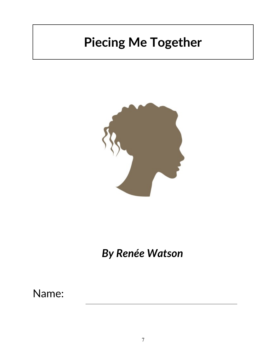

# *By Renée Watson*

## Name: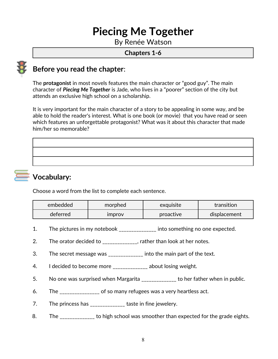By Renée Watson

#### **Chapters 1-6**



### **Before you read the chapter**:

The **protagonist** in most novels features the main character or "good guy". The main character of *Piecing Me Together* is Jade, who lives in a "poorer" section of the city but attends an exclusive high school on a scholarship.

It is very important for the main character of a story to be appealing in some way, and be able to hold the reader's interest. What is one book (or movie) that you have read or seen which features an unforgettable protagonist? What was it about this character that made him/her so memorable?



### **Vocabulary:**

Choose a word from the list to complete each sentence.

| embedded | morphed              | exquisite | transition   |
|----------|----------------------|-----------|--------------|
| deferred | <i><b>Improv</b></i> | proactive | displacement |

- 1. The pictures in my notebook \_\_\_\_\_\_\_\_\_\_\_\_\_\_ into something no one expected.
- 2. The orator decided to \_\_\_\_\_\_\_\_\_\_\_\_\_, rather than look at her notes.
- 3. The secret message was \_\_\_\_\_\_\_\_\_\_\_\_\_ into the main part of the text.
- 4. I decided to become more \_\_\_\_\_\_\_\_\_\_\_\_\_\_ about losing weight.
- 5. No one was surprised when Margarita \_\_\_\_\_\_\_\_\_\_\_\_\_ to her father when in public.
- 6. The \_\_\_\_\_\_\_\_\_\_\_\_\_\_\_ of so many refugees was a very heartless act.
- 7. The princess has \_\_\_\_\_\_\_\_\_\_\_\_\_\_ taste in fine jewelery.
- 8. The **EXA CONDEN** to high school was smoother than expected for the grade eights.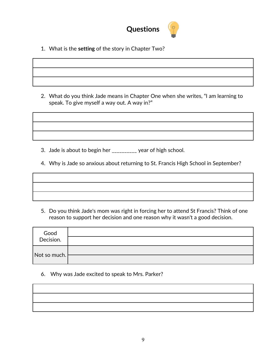

1. What is the **setting** of the story in Chapter Two?

2. What do you think Jade means in Chapter One when she writes, "I am learning to speak. To give myself a way out. A way in?"

3. Jade is about to begin her \_\_\_\_\_\_\_\_\_\_ year of high school.

4. Why is Jade so anxious about returning to St. Francis High School in September?

5. Do you think Jade's mom was right in forcing her to attend St Francis? Think of one reason to support her decision and one reason why it wasn't a good decision.

| Good<br>Decision.            |  |
|------------------------------|--|
|                              |  |
| $\vert$ Not so much. $\vert$ |  |
|                              |  |

6. Why was Jade excited to speak to Mrs. Parker?

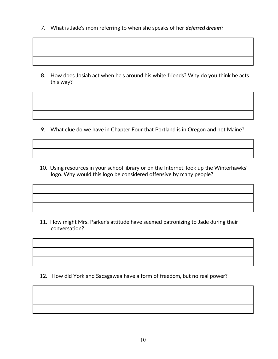7. What is Jade's mom referring to when she speaks of her *deferred dream*?

8. How does Josiah act when he's around his white friends? Why do you think he acts this way?

9. What clue do we have in Chapter Four that Portland is in Oregon and not Maine?

 10. Using resources in your school library or on the Internet, look up the Winterhawks' logo. Why would this logo be considered offensive by many people?

 11. How might Mrs. Parker's attitude have seemed patronizing to Jade during their conversation?

12. How did York and Sacagawea have a form of freedom, but no real power?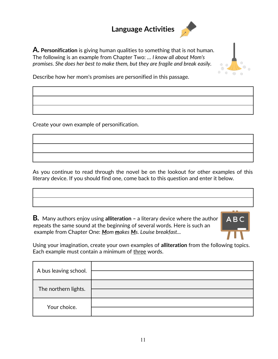## **Language Activities**





Describe how her mom's promises are personified in this passage.

Create your own example of personification.

As you continue to read through the novel be on the lookout for other examples of this literary device. If you should find one, come back to this question and enter it below.

**B***.* Many authors enjoy using **alliteration –** a literary device where the author **r**epeats the same sound at the beginning of several words. Here is such an example from Chapter One: *Mom makes Ms. Louise breakfast...*



Using your imagination, create your own examples of **alliteration** from the following topics. Each example must contain a minimum of three words.

| A bus leaving school. |  |
|-----------------------|--|
| The northern lights.  |  |
| Your choice.          |  |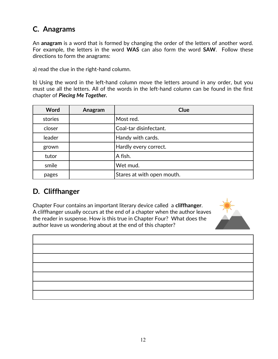### **C. Anagrams**

An **anagram** is a word that is formed by changing the order of the letters of another word. For example, the letters in the word **WAS** can also form the word **SAW**. Follow these directions to form the anagrams:

a) read the clue in the right-hand column.

b) Using the word in the left-hand column move the letters around in any order, but you must use all the letters. All of the words in the left-hand column can be found in the first chapter of *Piecing Me Together.*

| Word    | Anagram | <b>Clue</b>                |
|---------|---------|----------------------------|
| stories |         | Most red.                  |
| closer  |         | Coal-tar disinfectant.     |
| leader  |         | Handy with cards.          |
| grown   |         | Hardly every correct.      |
| tutor   |         | A fish.                    |
| smile   |         | Wet mud.                   |
| pages   |         | Stares at with open mouth. |

### **D***.* **Cliffhanger**

Chapter Four contains an important literary device called a **cliffhanger**. A cliffhanger usually occurs at the end of a chapter when the author leaves the reader in suspense. How is this true in Chapter Four? What does the author leave us wondering about at the end of this chapter?